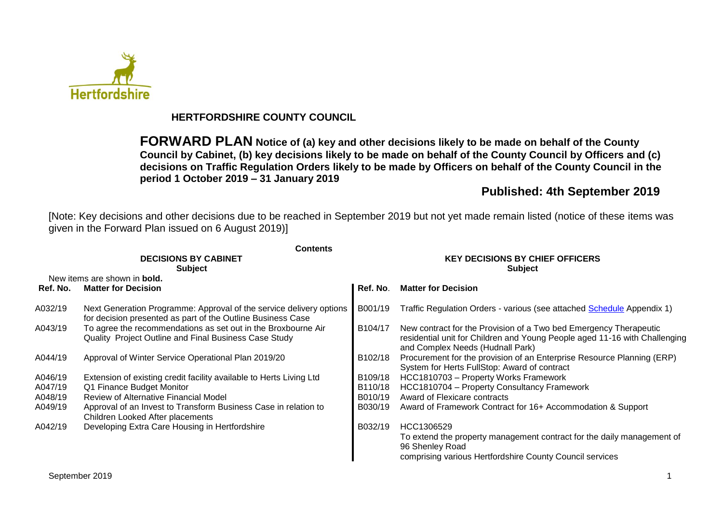

## **HERTFORDSHIRE COUNTY COUNCIL**

**FORWARD PLAN Notice of (a) key and other decisions likely to be made on behalf of the County Council by Cabinet, (b) key decisions likely to be made on behalf of the County Council by Officers and (c) decisions on Traffic Regulation Orders likely to be made by Officers on behalf of the County Council in the period 1 October 2019 – 31 January 2019**

## **Published: 4th September 2019**

[Note: Key decisions and other decisions due to be reached in September 2019 but not yet made remain listed (notice of these items was given in the Forward Plan issued on 6 August 2019)]

|          | <b>Contents</b>                                                                                                                    |                                                          |                                                                                                                                                                                     |  |  |  |
|----------|------------------------------------------------------------------------------------------------------------------------------------|----------------------------------------------------------|-------------------------------------------------------------------------------------------------------------------------------------------------------------------------------------|--|--|--|
|          | <b>DECISIONS BY CABINET</b><br><b>Subject</b>                                                                                      | <b>KEY DECISIONS BY CHIEF OFFICERS</b><br><b>Subject</b> |                                                                                                                                                                                     |  |  |  |
|          | New items are shown in <b>bold.</b>                                                                                                |                                                          |                                                                                                                                                                                     |  |  |  |
| Ref. No. | <b>Matter for Decision</b>                                                                                                         | Ref. No.                                                 | <b>Matter for Decision</b>                                                                                                                                                          |  |  |  |
| A032/19  | Next Generation Programme: Approval of the service delivery options<br>for decision presented as part of the Outline Business Case | B001/19                                                  | Traffic Regulation Orders - various (see attached Schedule Appendix 1)                                                                                                              |  |  |  |
| A043/19  | To agree the recommendations as set out in the Broxbourne Air<br>Quality Project Outline and Final Business Case Study             | B104/17                                                  | New contract for the Provision of a Two bed Emergency Therapeutic<br>residential unit for Children and Young People aged 11-16 with Challenging<br>and Complex Needs (Hudnall Park) |  |  |  |
| A044/19  | Approval of Winter Service Operational Plan 2019/20                                                                                | B102/18                                                  | Procurement for the provision of an Enterprise Resource Planning (ERP)<br>System for Herts FullStop: Award of contract                                                              |  |  |  |
| A046/19  | Extension of existing credit facility available to Herts Living Ltd                                                                | B109/18                                                  | HCC1810703 - Property Works Framework                                                                                                                                               |  |  |  |
| A047/19  | Q1 Finance Budget Monitor                                                                                                          | B110/18                                                  | HCC1810704 - Property Consultancy Framework                                                                                                                                         |  |  |  |
| A048/19  | Review of Alternative Financial Model                                                                                              | B010/19                                                  | Award of Flexicare contracts                                                                                                                                                        |  |  |  |
| A049/19  | Approval of an Invest to Transform Business Case in relation to<br>Children Looked After placements                                | B030/19                                                  | Award of Framework Contract for 16+ Accommodation & Support                                                                                                                         |  |  |  |
| A042/19  | Developing Extra Care Housing in Hertfordshire                                                                                     | B032/19                                                  | HCC1306529                                                                                                                                                                          |  |  |  |
|          |                                                                                                                                    |                                                          | To extend the property management contract for the daily management of<br>96 Shenley Road                                                                                           |  |  |  |
|          |                                                                                                                                    |                                                          | comprising various Hertfordshire County Council services                                                                                                                            |  |  |  |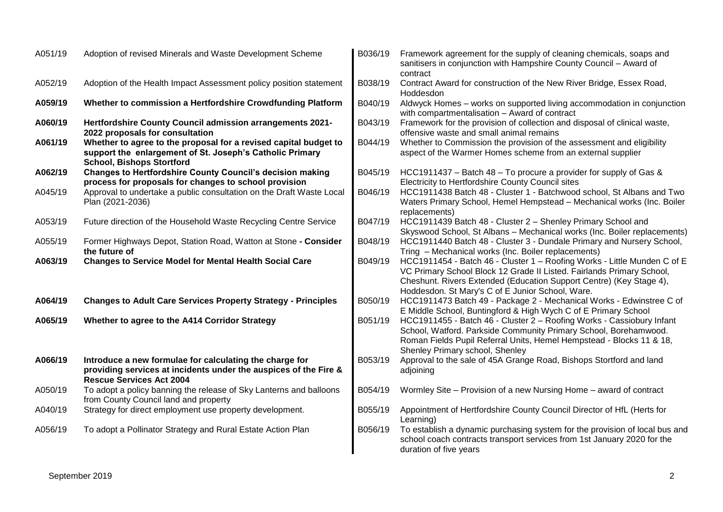| A051/19 | Adoption of revised Minerals and Waste Development Scheme                                                                                                        | B036/19 | Framework agreement for the supply of cleaning chemicals, soaps and<br>sanitisers in conjunction with Hampshire County Council - Award of<br>contract                                                                                                                        |
|---------|------------------------------------------------------------------------------------------------------------------------------------------------------------------|---------|------------------------------------------------------------------------------------------------------------------------------------------------------------------------------------------------------------------------------------------------------------------------------|
| A052/19 | Adoption of the Health Impact Assessment policy position statement                                                                                               | B038/19 | Contract Award for construction of the New River Bridge, Essex Road,<br>Hoddesdon                                                                                                                                                                                            |
| A059/19 | Whether to commission a Hertfordshire Crowdfunding Platform                                                                                                      | B040/19 | Aldwyck Homes - works on supported living accommodation in conjunction<br>with compartmentalisation - Award of contract                                                                                                                                                      |
| A060/19 | <b>Hertfordshire County Council admission arrangements 2021-</b><br>2022 proposals for consultation                                                              | B043/19 | Framework for the provision of collection and disposal of clinical waste,<br>offensive waste and small animal remains                                                                                                                                                        |
| A061/19 | Whether to agree to the proposal for a revised capital budget to<br>support the enlargement of St. Joseph's Catholic Primary<br><b>School, Bishops Stortford</b> | B044/19 | Whether to Commission the provision of the assessment and eligibility<br>aspect of the Warmer Homes scheme from an external supplier                                                                                                                                         |
| A062/19 | <b>Changes to Hertfordshire County Council's decision making</b><br>process for proposals for changes to school provision                                        | B045/19 | HCC1911437 – Batch 48 – To procure a provider for supply of Gas &<br>Electricity to Hertfordshire County Council sites                                                                                                                                                       |
| A045/19 | Approval to undertake a public consultation on the Draft Waste Local<br>Plan (2021-2036)                                                                         | B046/19 | HCC1911438 Batch 48 - Cluster 1 - Batchwood school, St Albans and Two<br>Waters Primary School, Hemel Hempstead - Mechanical works (Inc. Boiler<br>replacements)                                                                                                             |
| A053/19 | Future direction of the Household Waste Recycling Centre Service                                                                                                 | B047/19 | HCC1911439 Batch 48 - Cluster 2 - Shenley Primary School and<br>Skyswood School, St Albans - Mechanical works (Inc. Boiler replacements)                                                                                                                                     |
| A055/19 | Former Highways Depot, Station Road, Watton at Stone - Consider<br>the future of                                                                                 | B048/19 | HCC1911440 Batch 48 - Cluster 3 - Dundale Primary and Nursery School,<br>Tring - Mechanical works (Inc. Boiler replacements)                                                                                                                                                 |
| A063/19 | <b>Changes to Service Model for Mental Health Social Care</b>                                                                                                    | B049/19 | HCC1911454 - Batch 46 - Cluster 1 - Roofing Works - Little Munden C of E<br>VC Primary School Block 12 Grade II Listed. Fairlands Primary School,<br>Cheshunt. Rivers Extended (Education Support Centre) (Key Stage 4),<br>Hoddesdon. St Mary's C of E Junior School, Ware. |
| A064/19 | <b>Changes to Adult Care Services Property Strategy - Principles</b>                                                                                             | B050/19 | HCC1911473 Batch 49 - Package 2 - Mechanical Works - Edwinstree C of<br>E Middle School, Buntingford & High Wych C of E Primary School                                                                                                                                       |
| A065/19 | Whether to agree to the A414 Corridor Strategy                                                                                                                   | B051/19 | HCC1911455 - Batch 46 - Cluster 2 - Roofing Works - Cassiobury Infant<br>School, Watford. Parkside Community Primary School, Borehamwood.<br>Roman Fields Pupil Referral Units, Hemel Hempstead - Blocks 11 & 18,<br>Shenley Primary school, Shenley                         |
| A066/19 | Introduce a new formulae for calculating the charge for<br>providing services at incidents under the auspices of the Fire &<br><b>Rescue Services Act 2004</b>   | B053/19 | Approval to the sale of 45A Grange Road, Bishops Stortford and land<br>adjoining                                                                                                                                                                                             |
| A050/19 | To adopt a policy banning the release of Sky Lanterns and balloons<br>from County Council land and property                                                      | B054/19 | Wormley Site - Provision of a new Nursing Home - award of contract                                                                                                                                                                                                           |
| A040/19 | Strategy for direct employment use property development.                                                                                                         | B055/19 | Appointment of Hertfordshire County Council Director of HfL (Herts for<br>Learning)                                                                                                                                                                                          |
| A056/19 | To adopt a Pollinator Strategy and Rural Estate Action Plan                                                                                                      | B056/19 | To establish a dynamic purchasing system for the provision of local bus and<br>school coach contracts transport services from 1st January 2020 for the<br>duration of five years                                                                                             |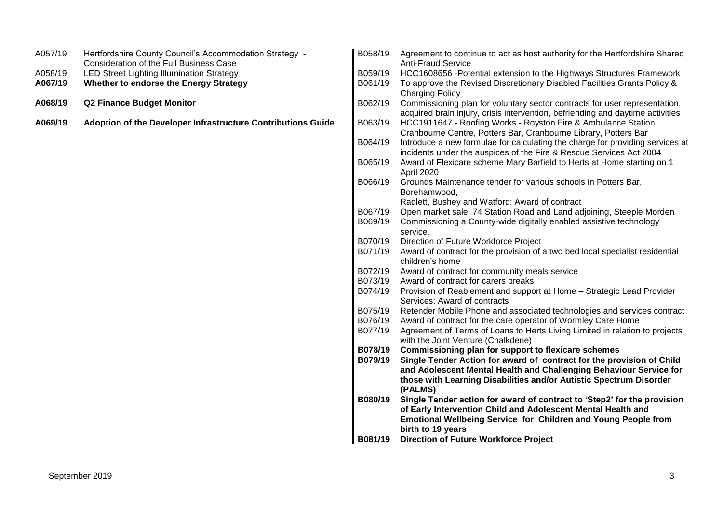| A057/19 | Hertfordshire County Council's Accommodation Strategy -<br><b>Consideration of the Full Business Case</b> | B058/19 | Agreement to continue to act as host authority for the Hertfordshire Shared<br><b>Anti-Fraud Service</b>                                                                               |
|---------|-----------------------------------------------------------------------------------------------------------|---------|----------------------------------------------------------------------------------------------------------------------------------------------------------------------------------------|
| A058/19 | <b>LED Street Lighting Illumination Strategy</b>                                                          | B059/19 | HCC1608656 - Potential extension to the Highways Structures Framework                                                                                                                  |
| A067/19 | Whether to endorse the Energy Strategy                                                                    | B061/19 | To approve the Revised Discretionary Disabled Facilities Grants Policy &                                                                                                               |
| A068/19 | <b>Q2 Finance Budget Monitor</b>                                                                          | B062/19 | <b>Charging Policy</b><br>Commissioning plan for voluntary sector contracts for user representation,<br>acquired brain injury, crisis intervention, befriending and daytime activities |
| A069/19 | Adoption of the Developer Infrastructure Contributions Guide                                              | B063/19 | HCC1911647 - Roofing Works - Royston Fire & Ambulance Station,<br>Cranbourne Centre, Potters Bar, Cranbourne Library, Potters Bar                                                      |
|         |                                                                                                           | B064/19 | Introduce a new formulae for calculating the charge for providing services at<br>incidents under the auspices of the Fire & Rescue Services Act 2004                                   |
|         |                                                                                                           | B065/19 | Award of Flexicare scheme Mary Barfield to Herts at Home starting on 1<br>April 2020                                                                                                   |
|         |                                                                                                           | B066/19 | Grounds Maintenance tender for various schools in Potters Bar,<br>Borehamwood,                                                                                                         |
|         |                                                                                                           |         | Radlett, Bushey and Watford: Award of contract                                                                                                                                         |
|         |                                                                                                           | B067/19 | Open market sale: 74 Station Road and Land adjoining, Steeple Morden                                                                                                                   |
|         |                                                                                                           | B069/19 | Commissioning a County-wide digitally enabled assistive technology<br>service.                                                                                                         |
|         |                                                                                                           | B070/19 | Direction of Future Workforce Project                                                                                                                                                  |
|         |                                                                                                           | B071/19 | Award of contract for the provision of a two bed local specialist residential<br>children's home                                                                                       |
|         |                                                                                                           | B072/19 | Award of contract for community meals service                                                                                                                                          |
|         |                                                                                                           | B073/19 | Award of contract for carers breaks                                                                                                                                                    |
|         |                                                                                                           | B074/19 | Provision of Reablement and support at Home - Strategic Lead Provider<br>Services: Award of contracts                                                                                  |
|         |                                                                                                           | B075/19 | Retender Mobile Phone and associated technologies and services contract                                                                                                                |
|         |                                                                                                           | B076/19 | Award of contract for the care operator of Wormley Care Home                                                                                                                           |
|         |                                                                                                           | B077/19 | Agreement of Terms of Loans to Herts Living Limited in relation to projects<br>with the Joint Venture (Chalkdene)                                                                      |
|         |                                                                                                           | B078/19 | Commissioning plan for support to flexicare schemes                                                                                                                                    |
|         |                                                                                                           | B079/19 | Single Tender Action for award of contract for the provision of Child                                                                                                                  |
|         |                                                                                                           |         | and Adolescent Mental Health and Challenging Behaviour Service for                                                                                                                     |
|         |                                                                                                           |         | those with Learning Disabilities and/or Autistic Spectrum Disorder                                                                                                                     |
|         |                                                                                                           |         | (PALMS)                                                                                                                                                                                |
|         |                                                                                                           | B080/19 | Single Tender action for award of contract to 'Step2' for the provision                                                                                                                |
|         |                                                                                                           |         | of Early Intervention Child and Adolescent Mental Health and                                                                                                                           |
|         |                                                                                                           |         | <b>Emotional Wellbeing Service for Children and Young People from</b>                                                                                                                  |
|         |                                                                                                           |         | birth to 19 years                                                                                                                                                                      |
|         |                                                                                                           | B081/19 | <b>Direction of Future Workforce Project</b>                                                                                                                                           |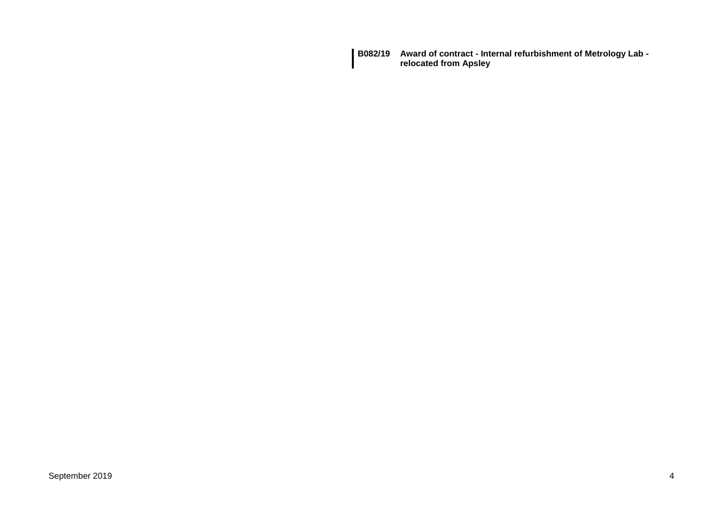**B082/19 Award of contract - Internal refurbishment of Metrology Lab relocated from Apsley**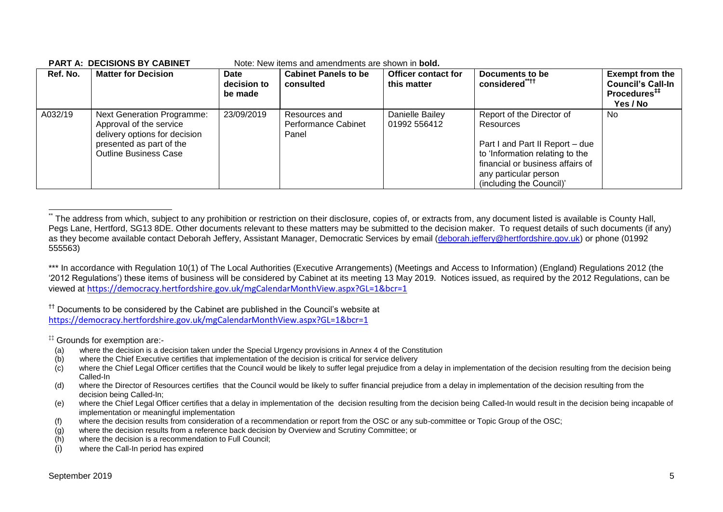| Ref. No. | <b>Matter for Decision</b>                                                                                                                                | Date<br>decision to<br>be made | <b>Cabinet Panels to be</b><br>consulted      | <b>Officer contact for</b><br>this matter | Documents to be<br>considered <sup>**††</sup>                                                                                                                                                         | <b>Exempt from the</b><br><b>Council's Call-In</b><br>Procedures <sup>##</sup><br>Yes / No |
|----------|-----------------------------------------------------------------------------------------------------------------------------------------------------------|--------------------------------|-----------------------------------------------|-------------------------------------------|-------------------------------------------------------------------------------------------------------------------------------------------------------------------------------------------------------|--------------------------------------------------------------------------------------------|
| A032/19  | <b>Next Generation Programme:</b><br>Approval of the service<br>delivery options for decision<br>presented as part of the<br><b>Outline Business Case</b> | 23/09/2019                     | Resources and<br>Performance Cabinet<br>Panel | Danielle Bailey<br>01992 556412           | Report of the Director of<br>Resources<br>Part I and Part II Report - due<br>to 'Information relating to the<br>financial or business affairs of<br>any particular person<br>(including the Council)' | No.                                                                                        |

#### **PART A: DECISIONS BY CABINET** Note: New items and amendments are shown in **bold.**

\*\*\* In accordance with Regulation 10(1) of The Local Authorities (Executive Arrangements) (Meetings and Access to Information) (England) Regulations 2012 (the '2012 Regulations') these items of business will be considered by Cabinet at its meeting 13 May 2019. Notices issued, as required by the 2012 Regulations, can be viewed at <https://democracy.hertfordshire.gov.uk/mgCalendarMonthView.aspx?GL=1&bcr=1>

<sup>††</sup> Documents to be considered by the Cabinet are published in the Council's website at <https://democracy.hertfordshire.gov.uk/mgCalendarMonthView.aspx?GL=1&bcr=1>

‡‡ Grounds for exemption are:-

1

- (a) where the decision is a decision taken under the Special Urgency provisions in Annex 4 of the Constitution
- (b) where the Chief Executive certifies that implementation of the decision is critical for service delivery
- $(c)$  where the Chief Legal Officer certifies that the Council would be likely to suffer legal prejudice from a delay in implementation of the decision resulting from the decision being Called-In
- (d) where the Director of Resources certifies that the Council would be likely to suffer financial prejudice from a delay in implementation of the decision resulting from the decision being Called-In;
- (e) where the Chief Legal Officer certifies that a delay in implementation of the decision resulting from the decision being Called-In would result in the decision being incapable of implementation or meaningful implementation
- (f) where the decision results from consideration of a recommendation or report from the OSC or any sub-committee or Topic Group of the OSC;
- (g) where the decision results from a reference back decision by Overview and Scrutiny Committee; or
- (h) where the decision is a recommendation to Full Council;
- (i) where the Call-In period has expired

The address from which, subject to any prohibition or restriction on their disclosure, copies of, or extracts from, any document listed is available is County Hall, Pegs Lane, Hertford, SG13 8DE. Other documents relevant to these matters may be submitted to the decision maker. To request details of such documents (if any) as they become available contact Deborah Jeffery, Assistant Manager, Democratic Services by email [\(deborah.jeffery@hertfordshire.gov.uk\)](mailto:deborah.jeffery@hertfordshire.gov.uk) or phone (01992 555563)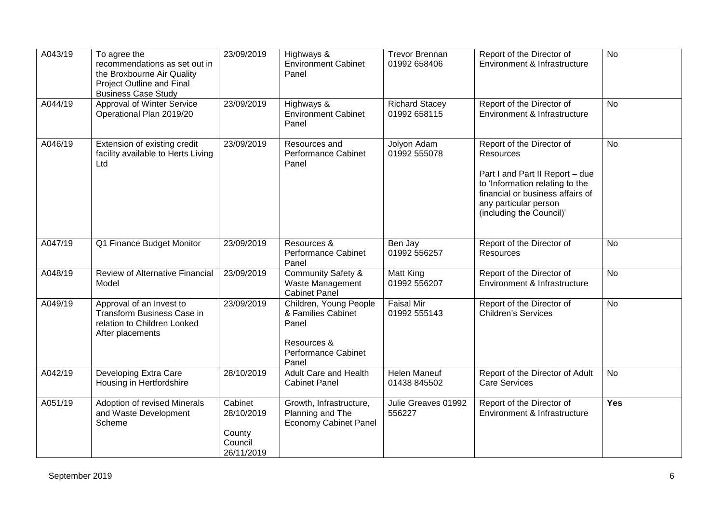| A043/19 | To agree the<br>recommendations as set out in<br>the Broxbourne Air Quality<br>Project Outline and Final<br><b>Business Case Study</b> | 23/09/2019                                               | Highways &<br><b>Environment Cabinet</b><br>Panel                                                    | <b>Trevor Brennan</b><br>01992 658406 | Report of the Director of<br>Environment & Infrastructure                                                                                                                                                    | $\overline{N}$ |
|---------|----------------------------------------------------------------------------------------------------------------------------------------|----------------------------------------------------------|------------------------------------------------------------------------------------------------------|---------------------------------------|--------------------------------------------------------------------------------------------------------------------------------------------------------------------------------------------------------------|----------------|
| A044/19 | Approval of Winter Service<br>Operational Plan 2019/20                                                                                 | 23/09/2019                                               | Highways &<br><b>Environment Cabinet</b><br>Panel                                                    | <b>Richard Stacey</b><br>01992 658115 | Report of the Director of<br>Environment & Infrastructure                                                                                                                                                    | No             |
| A046/19 | Extension of existing credit<br>facility available to Herts Living<br>Ltd                                                              | 23/09/2019                                               | Resources and<br><b>Performance Cabinet</b><br>Panel                                                 | Jolyon Adam<br>01992 555078           | Report of the Director of<br><b>Resources</b><br>Part I and Part II Report - due<br>to 'Information relating to the<br>financial or business affairs of<br>any particular person<br>(including the Council)' | <b>No</b>      |
| A047/19 | Q1 Finance Budget Monitor                                                                                                              | 23/09/2019                                               | Resources &<br><b>Performance Cabinet</b><br>Panel                                                   | Ben Jay<br>01992 556257               | Report of the Director of<br><b>Resources</b>                                                                                                                                                                | $\overline{N}$ |
| A048/19 | Review of Alternative Financial<br>Model                                                                                               | 23/09/2019                                               | <b>Community Safety &amp;</b><br>Waste Management<br><b>Cabinet Panel</b>                            | <b>Matt King</b><br>01992 556207      | Report of the Director of<br>Environment & Infrastructure                                                                                                                                                    | $\overline{N}$ |
| A049/19 | Approval of an Invest to<br>Transform Business Case in<br>relation to Children Looked<br>After placements                              | 23/09/2019                                               | Children, Young People<br>& Families Cabinet<br>Panel<br>Resources &<br>Performance Cabinet<br>Panel | <b>Faisal Mir</b><br>01992 555143     | Report of the Director of<br><b>Children's Services</b>                                                                                                                                                      | $\overline{N}$ |
| A042/19 | Developing Extra Care<br>Housing in Hertfordshire                                                                                      | 28/10/2019                                               | <b>Adult Care and Health</b><br><b>Cabinet Panel</b>                                                 | <b>Helen Maneuf</b><br>01438 845502   | Report of the Director of Adult<br><b>Care Services</b>                                                                                                                                                      | <b>No</b>      |
| A051/19 | Adoption of revised Minerals<br>and Waste Development<br>Scheme                                                                        | Cabinet<br>28/10/2019<br>County<br>Council<br>26/11/2019 | Growth, Infrastructure,<br>Planning and The<br><b>Economy Cabinet Panel</b>                          | Julie Greaves 01992<br>556227         | Report of the Director of<br>Environment & Infrastructure                                                                                                                                                    | Yes            |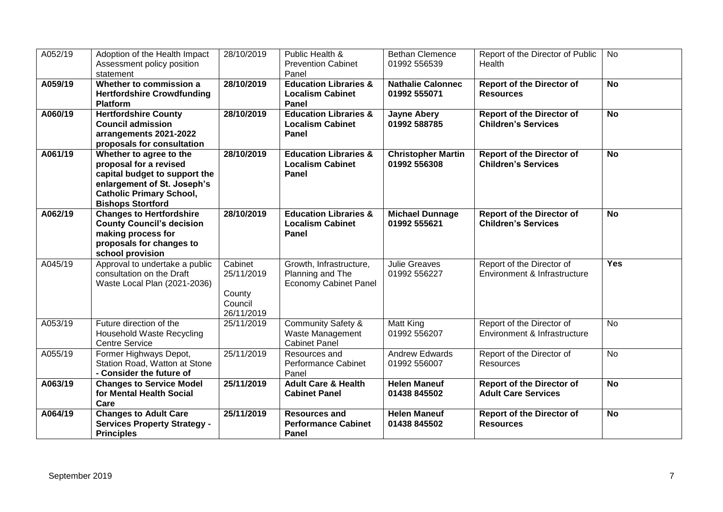| A052/19 | Adoption of the Health Impact<br>Assessment policy position<br>statement                                                                                                         | 28/10/2019                                               | Public Health &<br><b>Prevention Cabinet</b><br>Panel                       | <b>Bethan Clemence</b><br>01992 556539    | Report of the Director of Public<br>Health                     | No         |
|---------|----------------------------------------------------------------------------------------------------------------------------------------------------------------------------------|----------------------------------------------------------|-----------------------------------------------------------------------------|-------------------------------------------|----------------------------------------------------------------|------------|
| A059/19 | Whether to commission a<br><b>Hertfordshire Crowdfunding</b><br><b>Platform</b>                                                                                                  | 28/10/2019                                               | <b>Education Libraries &amp;</b><br><b>Localism Cabinet</b><br>Panel        | <b>Nathalie Calonnec</b><br>01992 555071  | <b>Report of the Director of</b><br><b>Resources</b>           | <b>No</b>  |
| A060/19 | <b>Hertfordshire County</b><br><b>Council admission</b><br>arrangements 2021-2022<br>proposals for consultation                                                                  | 28/10/2019                                               | <b>Education Libraries &amp;</b><br><b>Localism Cabinet</b><br>Panel        | <b>Jayne Abery</b><br>01992 588785        | <b>Report of the Director of</b><br><b>Children's Services</b> | <b>No</b>  |
| A061/19 | Whether to agree to the<br>proposal for a revised<br>capital budget to support the<br>enlargement of St. Joseph's<br><b>Catholic Primary School,</b><br><b>Bishops Stortford</b> | 28/10/2019                                               | <b>Education Libraries &amp;</b><br><b>Localism Cabinet</b><br>Panel        | <b>Christopher Martin</b><br>01992 556308 | <b>Report of the Director of</b><br><b>Children's Services</b> | <b>No</b>  |
| A062/19 | <b>Changes to Hertfordshire</b><br><b>County Council's decision</b><br>making process for<br>proposals for changes to<br>school provision                                        | 28/10/2019                                               | <b>Education Libraries &amp;</b><br><b>Localism Cabinet</b><br>Panel        | <b>Michael Dunnage</b><br>01992 555621    | <b>Report of the Director of</b><br><b>Children's Services</b> | <b>No</b>  |
| A045/19 | Approval to undertake a public<br>consultation on the Draft<br>Waste Local Plan (2021-2036)                                                                                      | Cabinet<br>25/11/2019<br>County<br>Council<br>26/11/2019 | Growth, Infrastructure,<br>Planning and The<br><b>Economy Cabinet Panel</b> | <b>Julie Greaves</b><br>01992 556227      | Report of the Director of<br>Environment & Infrastructure      | <b>Yes</b> |
| A053/19 | Future direction of the<br>Household Waste Recycling<br><b>Centre Service</b>                                                                                                    | 25/11/2019                                               | <b>Community Safety &amp;</b><br>Waste Management<br><b>Cabinet Panel</b>   | Matt King<br>01992 556207                 | Report of the Director of<br>Environment & Infrastructure      | <b>No</b>  |
| A055/19 | Former Highways Depot,<br>Station Road, Watton at Stone<br>- Consider the future of                                                                                              | 25/11/2019                                               | Resources and<br>Performance Cabinet<br>Panel                               | <b>Andrew Edwards</b><br>01992 556007     | Report of the Director of<br>Resources                         | <b>No</b>  |
| A063/19 | <b>Changes to Service Model</b><br>for Mental Health Social<br>Care                                                                                                              | 25/11/2019                                               | <b>Adult Care &amp; Health</b><br><b>Cabinet Panel</b>                      | <b>Helen Maneuf</b><br>01438 845502       | <b>Report of the Director of</b><br><b>Adult Care Services</b> | <b>No</b>  |
| A064/19 | <b>Changes to Adult Care</b><br><b>Services Property Strategy -</b><br><b>Principles</b>                                                                                         | 25/11/2019                                               | <b>Resources and</b><br><b>Performance Cabinet</b><br>Panel                 | <b>Helen Maneuf</b><br>01438 845502       | <b>Report of the Director of</b><br><b>Resources</b>           | <b>No</b>  |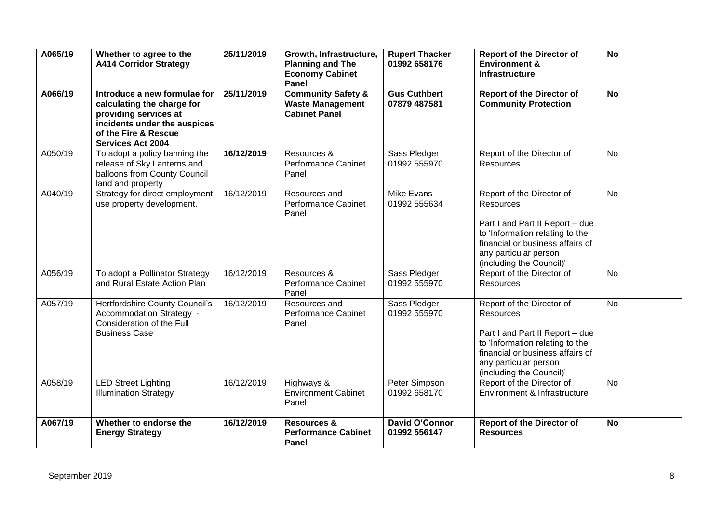| A065/19 | Whether to agree to the<br><b>A414 Corridor Strategy</b>                                                                                                                | 25/11/2019 | Growth, Infrastructure,<br><b>Planning and The</b><br><b>Economy Cabinet</b><br>Panel | <b>Rupert Thacker</b><br>01992 658176 | <b>Report of the Director of</b><br><b>Environment &amp;</b><br><b>Infrastructure</b>                                                                                                                        | <b>No</b> |
|---------|-------------------------------------------------------------------------------------------------------------------------------------------------------------------------|------------|---------------------------------------------------------------------------------------|---------------------------------------|--------------------------------------------------------------------------------------------------------------------------------------------------------------------------------------------------------------|-----------|
| A066/19 | Introduce a new formulae for<br>calculating the charge for<br>providing services at<br>incidents under the auspices<br>of the Fire & Rescue<br><b>Services Act 2004</b> | 25/11/2019 | <b>Community Safety &amp;</b><br><b>Waste Management</b><br><b>Cabinet Panel</b>      | <b>Gus Cuthbert</b><br>07879 487581   | <b>Report of the Director of</b><br><b>Community Protection</b>                                                                                                                                              | <b>No</b> |
| A050/19 | To adopt a policy banning the<br>release of Sky Lanterns and<br>balloons from County Council<br>land and property                                                       | 16/12/2019 | Resources &<br>Performance Cabinet<br>Panel                                           | Sass Pledger<br>01992 555970          | Report of the Director of<br>Resources                                                                                                                                                                       | No        |
| A040/19 | Strategy for direct employment<br>use property development.                                                                                                             | 16/12/2019 | Resources and<br>Performance Cabinet<br>Panel                                         | <b>Mike Evans</b><br>01992 555634     | Report of the Director of<br><b>Resources</b><br>Part I and Part II Report - due<br>to 'Information relating to the<br>financial or business affairs of<br>any particular person<br>(including the Council)' | <b>No</b> |
| A056/19 | To adopt a Pollinator Strategy<br>and Rural Estate Action Plan                                                                                                          | 16/12/2019 | Resources &<br>Performance Cabinet<br>Panel                                           | Sass Pledger<br>01992 555970          | Report of the Director of<br>Resources                                                                                                                                                                       | No        |
| A057/19 | Hertfordshire County Council's<br>Accommodation Strategy -<br>Consideration of the Full<br><b>Business Case</b>                                                         | 16/12/2019 | Resources and<br><b>Performance Cabinet</b><br>Panel                                  | Sass Pledger<br>01992 555970          | Report of the Director of<br>Resources<br>Part I and Part II Report - due<br>to 'Information relating to the<br>financial or business affairs of<br>any particular person<br>(including the Council)'        | <b>No</b> |
| A058/19 | <b>LED Street Lighting</b><br><b>Illumination Strategy</b>                                                                                                              | 16/12/2019 | Highways &<br><b>Environment Cabinet</b><br>Panel                                     | Peter Simpson<br>01992 658170         | Report of the Director of<br>Environment & Infrastructure                                                                                                                                                    | <b>No</b> |
| A067/19 | Whether to endorse the<br><b>Energy Strategy</b>                                                                                                                        | 16/12/2019 | <b>Resources &amp;</b><br><b>Performance Cabinet</b><br>Panel                         | <b>David O'Connor</b><br>01992 556147 | <b>Report of the Director of</b><br><b>Resources</b>                                                                                                                                                         | <b>No</b> |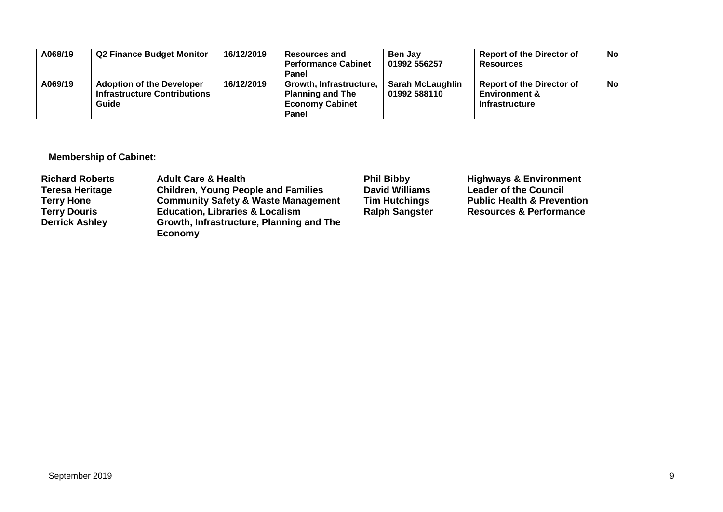| A068/19 | <b>Q2 Finance Budget Monitor</b>                                                 | 16/12/2019 | <b>Resources and</b><br><b>Performance Cabinet</b><br>Panel                           | <b>Ben Jav</b><br>01992 556257          | <b>Report of the Director of</b><br><b>Resources</b>                                  | No |
|---------|----------------------------------------------------------------------------------|------------|---------------------------------------------------------------------------------------|-----------------------------------------|---------------------------------------------------------------------------------------|----|
| A069/19 | <b>Adoption of the Developer</b><br><b>Infrastructure Contributions</b><br>Guide | 16/12/2019 | Growth, Infrastructure,<br><b>Planning and The</b><br><b>Economy Cabinet</b><br>Panel | <b>Sarah McLaughlin</b><br>01992 588110 | <b>Report of the Director of</b><br><b>Environment &amp;</b><br><b>Infrastructure</b> | No |

**Membership of Cabinet:** 

| <b>Richard Roberts</b> | <b>Adult Care &amp; Health</b>                             | <b>Phil Bibby</b>     | <b>Highways &amp; Environment</b>     |
|------------------------|------------------------------------------------------------|-----------------------|---------------------------------------|
| <b>Teresa Heritage</b> | <b>Children, Young People and Families</b>                 | <b>David Williams</b> | <b>Leader of the Council</b>          |
| <b>Terry Hone</b>      | <b>Community Safety &amp; Waste Management</b>             | <b>Tim Hutchings</b>  | <b>Public Health &amp; Prevention</b> |
| <b>Terry Douris</b>    | <b>Education, Libraries &amp; Localism</b>                 | <b>Ralph Sangster</b> | <b>Resources &amp; Performance</b>    |
| <b>Derrick Ashley</b>  | Growth, Infrastructure, Planning and The<br><b>Economy</b> |                       |                                       |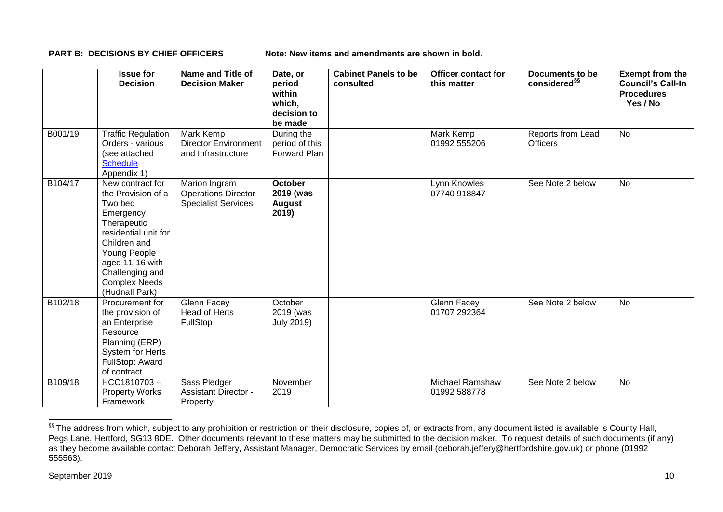**PART B: DECISIONS BY CHIEF OFFICERS Note: New items and amendments are shown in bold.** 

|         | <b>Issue for</b><br><b>Decision</b>                                                                                                                                                                                   | Name and Title of<br><b>Decision Maker</b>                                | Date, or<br>period<br>within<br>which,<br>decision to<br>be made | <b>Cabinet Panels to be</b><br>consulted | Officer contact for<br>this matter | Documents to be<br>considered <sup>§§</sup> | <b>Exempt from the</b><br><b>Council's Call-In</b><br><b>Procedures</b><br>Yes / No |
|---------|-----------------------------------------------------------------------------------------------------------------------------------------------------------------------------------------------------------------------|---------------------------------------------------------------------------|------------------------------------------------------------------|------------------------------------------|------------------------------------|---------------------------------------------|-------------------------------------------------------------------------------------|
| B001/19 | <b>Traffic Regulation</b><br>Orders - various<br>(see attached<br><b>Schedule</b><br>Appendix 1)                                                                                                                      | Mark Kemp<br><b>Director Environment</b><br>and Infrastructure            | During the<br>period of this<br>Forward Plan                     |                                          | <b>Mark Kemp</b><br>01992 555206   | Reports from Lead<br><b>Officers</b>        | <b>No</b>                                                                           |
| B104/17 | New contract for<br>the Provision of a<br>Two bed<br>Emergency<br>Therapeutic<br>residential unit for<br>Children and<br>Young People<br>aged 11-16 with<br>Challenging and<br><b>Complex Needs</b><br>(Hudnall Park) | Marion Ingram<br><b>Operations Director</b><br><b>Specialist Services</b> | <b>October</b><br>2019 (was<br><b>August</b><br>2019)            |                                          | Lynn Knowles<br>07740 918847       | See Note 2 below                            | <b>No</b>                                                                           |
| B102/18 | Procurement for<br>the provision of<br>an Enterprise<br>Resource<br>Planning (ERP)<br><b>System for Herts</b><br>FullStop: Award<br>of contract                                                                       | Glenn Facey<br><b>Head of Herts</b><br>FullStop                           | October<br>2019 (was<br><b>July 2019)</b>                        |                                          | Glenn Facey<br>01707 292364        | See Note 2 below                            | No                                                                                  |
| B109/18 | HCC1810703-<br><b>Property Works</b><br>Framework                                                                                                                                                                     | Sass Pledger<br><b>Assistant Director -</b><br>Property                   | November<br>2019                                                 |                                          | Michael Ramshaw<br>01992 588778    | See Note 2 below                            | <b>No</b>                                                                           |

<sup>&</sup>lt;sup>§§</sup> The address from which, subject to any prohibition or restriction on their disclosure, copies of, or extracts from, any document listed is available is County Hall, Pegs Lane, Hertford, SG13 8DE. Other documents relevant to these matters may be submitted to the decision maker. To request details of such documents (if any) as they become available contact Deborah Jeffery, Assistant Manager, Democratic Services by email (deborah.jeffery@hertfordshire.gov.uk) or phone (01992 555563).

-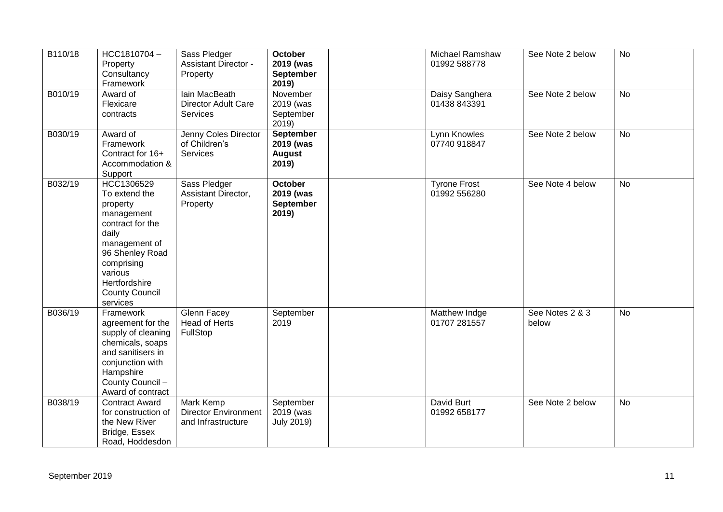| B110/18 | HCC1810704-<br>Property<br>Consultancy<br>Framework                                                                                                                                                   | Sass Pledger<br><b>Assistant Director -</b><br>Property        | <b>October</b><br>2019 (was<br><b>September</b><br>2019) | Michael Ramshaw<br>01992 588778     | See Note 2 below         | No        |
|---------|-------------------------------------------------------------------------------------------------------------------------------------------------------------------------------------------------------|----------------------------------------------------------------|----------------------------------------------------------|-------------------------------------|--------------------------|-----------|
| B010/19 | Award of<br>Flexicare<br>contracts                                                                                                                                                                    | lain MacBeath<br><b>Director Adult Care</b><br><b>Services</b> | November<br>2019 (was<br>September<br>2019)              | Daisy Sanghera<br>01438 843391      | See Note 2 below         | <b>No</b> |
| B030/19 | Award of<br>Framework<br>Contract for 16+<br>Accommodation &<br>Support                                                                                                                               | Jenny Coles Director<br>of Children's<br>Services              | <b>September</b><br>2019 (was<br><b>August</b><br>2019)  | Lynn Knowles<br>07740 918847        | See Note 2 below         | <b>No</b> |
| B032/19 | HCC1306529<br>To extend the<br>property<br>management<br>contract for the<br>daily<br>management of<br>96 Shenley Road<br>comprising<br>various<br>Hertfordshire<br><b>County Council</b><br>services | Sass Pledger<br>Assistant Director,<br>Property                | <b>October</b><br>2019 (was<br><b>September</b><br>2019) | <b>Tyrone Frost</b><br>01992 556280 | See Note 4 below         | <b>No</b> |
| B036/19 | Framework<br>agreement for the<br>supply of cleaning<br>chemicals, soaps<br>and sanitisers in<br>conjunction with<br>Hampshire<br>County Council -<br>Award of contract                               | Glenn Facey<br>Head of Herts<br>FullStop                       | September<br>2019                                        | Matthew Indge<br>01707 281557       | See Notes 2 & 3<br>below | No        |
| B038/19 | <b>Contract Award</b><br>for construction of<br>the New River<br>Bridge, Essex<br>Road, Hoddesdon                                                                                                     | Mark Kemp<br><b>Director Environment</b><br>and Infrastructure | September<br>2019 (was<br><b>July 2019)</b>              | David Burt<br>01992 658177          | See Note 2 below         | No        |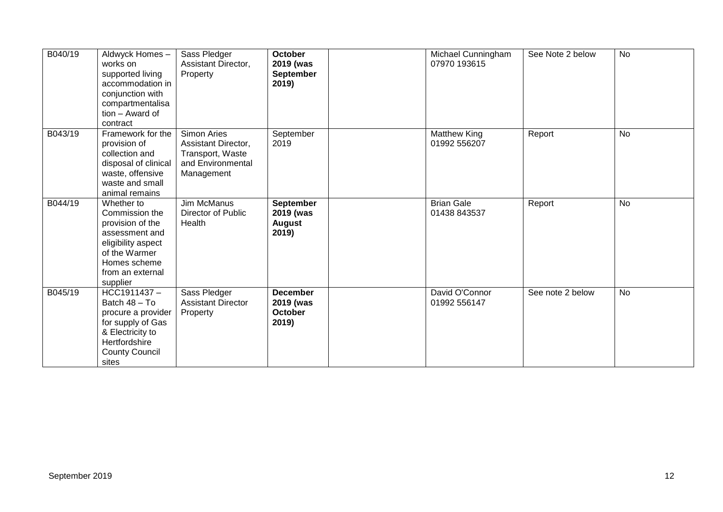| B040/19 | Aldwyck Homes-<br>works on<br>supported living<br>accommodation in<br>conjunction with<br>compartmentalisa<br>tion - Award of<br>contract                 | Sass Pledger<br>Assistant Director,<br>Property                                           | <b>October</b><br>2019 (was<br><b>September</b><br>2019) | Michael Cunningham<br>07970 193615  | See Note 2 below | <b>No</b> |
|---------|-----------------------------------------------------------------------------------------------------------------------------------------------------------|-------------------------------------------------------------------------------------------|----------------------------------------------------------|-------------------------------------|------------------|-----------|
| B043/19 | Framework for the<br>provision of<br>collection and<br>disposal of clinical<br>waste, offensive<br>waste and small<br>animal remains                      | Simon Aries<br>Assistant Director,<br>Transport, Waste<br>and Environmental<br>Management | September<br>2019                                        | <b>Matthew King</b><br>01992 556207 | Report           | <b>No</b> |
| B044/19 | Whether to<br>Commission the<br>provision of the<br>assessment and<br>eligibility aspect<br>of the Warmer<br>Homes scheme<br>from an external<br>supplier | Jim McManus<br>Director of Public<br>Health                                               | September<br>2019 (was<br><b>August</b><br>2019)         | <b>Brian Gale</b><br>01438 843537   | Report           | No        |
| B045/19 | HCC1911437-<br>Batch 48 - To<br>procure a provider<br>for supply of Gas<br>& Electricity to<br>Hertfordshire<br><b>County Council</b><br>sites            | Sass Pledger<br><b>Assistant Director</b><br>Property                                     | <b>December</b><br>2019 (was<br><b>October</b><br>2019)  | David O'Connor<br>01992 556147      | See note 2 below | <b>No</b> |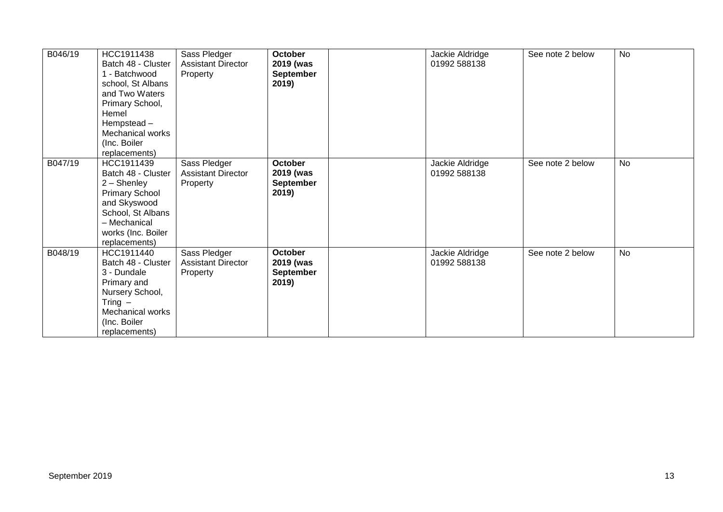| B046/19 | HCC1911438<br>Batch 48 - Cluster<br>1 - Batchwood<br>school, St Albans<br>and Two Waters<br>Primary School,<br>Hemel<br>Hempstead-<br><b>Mechanical works</b><br>(Inc. Boiler<br>replacements) | Sass Pledger<br><b>Assistant Director</b><br>Property | <b>October</b><br>2019 (was<br><b>September</b><br>2019) | Jackie Aldridge<br>01992 588138 | See note 2 below | <b>No</b> |
|---------|------------------------------------------------------------------------------------------------------------------------------------------------------------------------------------------------|-------------------------------------------------------|----------------------------------------------------------|---------------------------------|------------------|-----------|
| B047/19 | HCC1911439<br>Batch 48 - Cluster<br>2 - Shenley<br><b>Primary School</b><br>and Skyswood<br>School, St Albans<br>- Mechanical<br>works (Inc. Boiler<br>replacements)                           | Sass Pledger<br><b>Assistant Director</b><br>Property | October<br>2019 (was<br><b>September</b><br>2019)        | Jackie Aldridge<br>01992 588138 | See note 2 below | <b>No</b> |
| B048/19 | HCC1911440<br>Batch 48 - Cluster<br>3 - Dundale<br>Primary and<br>Nursery School,<br>Tring $-$<br>Mechanical works<br>(Inc. Boiler<br>replacements)                                            | Sass Pledger<br><b>Assistant Director</b><br>Property | October<br>2019 (was<br><b>September</b><br>2019)        | Jackie Aldridge<br>01992 588138 | See note 2 below | <b>No</b> |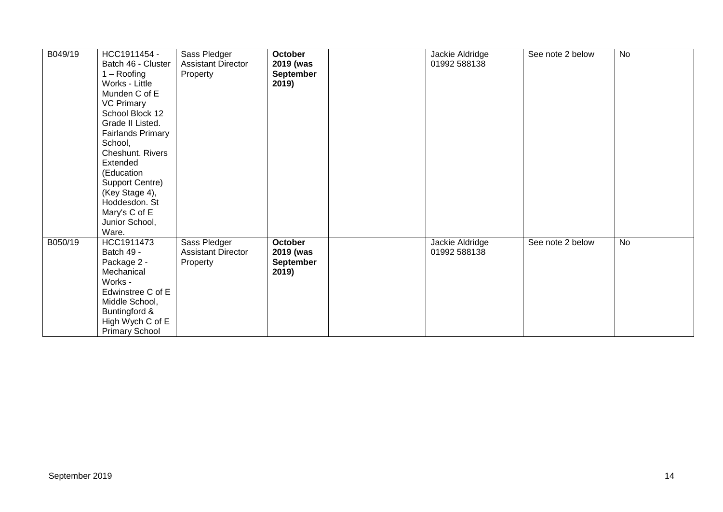| B049/19 | HCC1911454 -<br>Batch 46 - Cluster<br>$1 -$ Roofing<br>Works - Little<br>Munden C of E<br><b>VC Primary</b><br>School Block 12<br>Grade II Listed.<br><b>Fairlands Primary</b><br>School,<br><b>Cheshunt. Rivers</b><br>Extended<br>(Education<br>Support Centre)<br>(Key Stage 4),<br>Hoddesdon. St<br>Mary's C of E<br>Junior School,<br>Ware. | Sass Pledger<br><b>Assistant Director</b><br>Property | October<br>2019 (was<br><b>September</b><br>2019) | Jackie Aldridge<br>01992 588138 | See note 2 below | <b>No</b> |
|---------|--------------------------------------------------------------------------------------------------------------------------------------------------------------------------------------------------------------------------------------------------------------------------------------------------------------------------------------------------|-------------------------------------------------------|---------------------------------------------------|---------------------------------|------------------|-----------|
| B050/19 | HCC1911473<br>Batch 49 -<br>Package 2 -<br>Mechanical<br>Works -<br>Edwinstree C of E<br>Middle School,<br>Buntingford &<br>High Wych C of E<br><b>Primary School</b>                                                                                                                                                                            | Sass Pledger<br><b>Assistant Director</b><br>Property | October<br>2019 (was<br><b>September</b><br>2019) | Jackie Aldridge<br>01992 588138 | See note 2 below | <b>No</b> |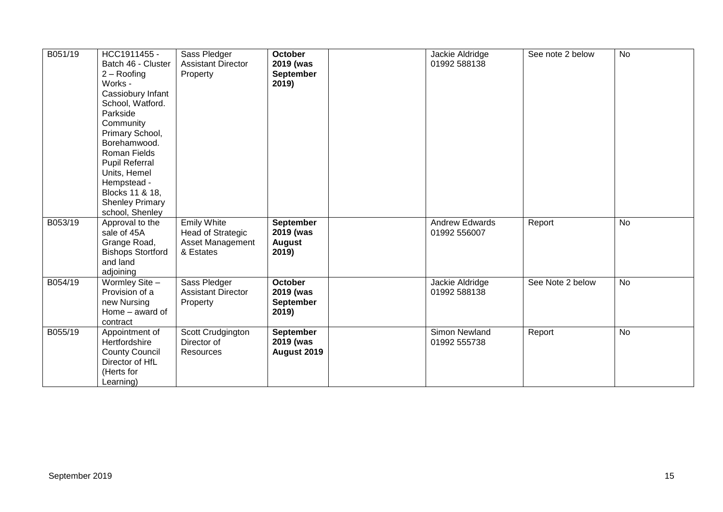| B051/19 | HCC1911455 -<br>Batch 46 - Cluster<br>$2 -$ Roofing<br>Works -<br>Cassiobury Infant<br>School, Watford.<br>Parkside<br>Community<br>Primary School,<br>Borehamwood.<br>Roman Fields<br><b>Pupil Referral</b><br>Units, Hemel<br>Hempstead -<br>Blocks 11 & 18,<br><b>Shenley Primary</b><br>school, Shenley | Sass Pledger<br><b>Assistant Director</b><br>Property                           | <b>October</b><br>2019 (was<br>September<br>2019)        | Jackie Aldridge<br>01992 588138       | See note 2 below | <b>No</b> |
|---------|-------------------------------------------------------------------------------------------------------------------------------------------------------------------------------------------------------------------------------------------------------------------------------------------------------------|---------------------------------------------------------------------------------|----------------------------------------------------------|---------------------------------------|------------------|-----------|
| B053/19 | Approval to the<br>sale of 45A<br>Grange Road,<br><b>Bishops Stortford</b><br>and land<br>adjoining                                                                                                                                                                                                         | <b>Emily White</b><br>Head of Strategic<br><b>Asset Management</b><br>& Estates | September<br>2019 (was<br><b>August</b><br>2019)         | <b>Andrew Edwards</b><br>01992 556007 | Report           | <b>No</b> |
| B054/19 | Wormley Site -<br>Provision of a<br>new Nursing<br>Home - award of<br>contract                                                                                                                                                                                                                              | Sass Pledger<br><b>Assistant Director</b><br>Property                           | <b>October</b><br>2019 (was<br><b>September</b><br>2019) | Jackie Aldridge<br>01992 588138       | See Note 2 below | <b>No</b> |
| B055/19 | Appointment of<br>Hertfordshire<br><b>County Council</b><br>Director of HfL<br>(Herts for<br>Learning)                                                                                                                                                                                                      | Scott Crudgington<br>Director of<br><b>Resources</b>                            | <b>September</b><br>2019 (was<br>August 2019             | Simon Newland<br>01992 555738         | Report           | <b>No</b> |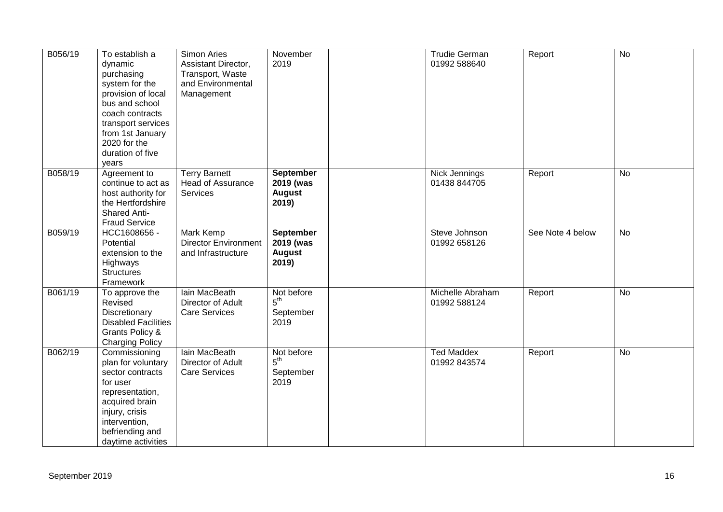| B056/19 | To establish a<br>dynamic<br>purchasing<br>system for the<br>provision of local<br>bus and school<br>coach contracts<br>transport services<br>from 1st January<br>2020 for the<br>duration of five<br>years | Simon Aries<br>Assistant Director,<br>Transport, Waste<br>and Environmental<br>Management | November<br>2019                                        | <b>Trudie German</b><br>01992 588640 | Report           | <b>No</b>      |
|---------|-------------------------------------------------------------------------------------------------------------------------------------------------------------------------------------------------------------|-------------------------------------------------------------------------------------------|---------------------------------------------------------|--------------------------------------|------------------|----------------|
| B058/19 | Agreement to<br>continue to act as<br>host authority for<br>the Hertfordshire<br><b>Shared Anti-</b><br><b>Fraud Service</b>                                                                                | <b>Terry Barnett</b><br>Head of Assurance<br>Services                                     | <b>September</b><br>2019 (was<br><b>August</b><br>2019) | Nick Jennings<br>01438 844705        | Report           | No             |
| B059/19 | HCC1608656 -<br>Potential<br>extension to the<br>Highways<br><b>Structures</b><br>Framework                                                                                                                 | <b>Mark Kemp</b><br><b>Director Environment</b><br>and Infrastructure                     | <b>September</b><br>2019 (was<br><b>August</b><br>2019) | Steve Johnson<br>01992 658126        | See Note 4 below | $\overline{N}$ |
| B061/19 | To approve the<br>Revised<br>Discretionary<br><b>Disabled Facilities</b><br>Grants Policy &<br><b>Charging Policy</b>                                                                                       | lain MacBeath<br>Director of Adult<br><b>Care Services</b>                                | Not before<br>5 <sup>th</sup><br>September<br>2019      | Michelle Abraham<br>01992 588124     | Report           | No             |
| B062/19 | Commissioning<br>plan for voluntary<br>sector contracts<br>for user<br>representation,<br>acquired brain<br>injury, crisis<br>intervention,<br>befriending and<br>daytime activities                        | lain MacBeath<br>Director of Adult<br><b>Care Services</b>                                | Not before<br>5 <sup>th</sup><br>September<br>2019      | <b>Ted Maddex</b><br>01992 843574    | Report           | $\overline{N}$ |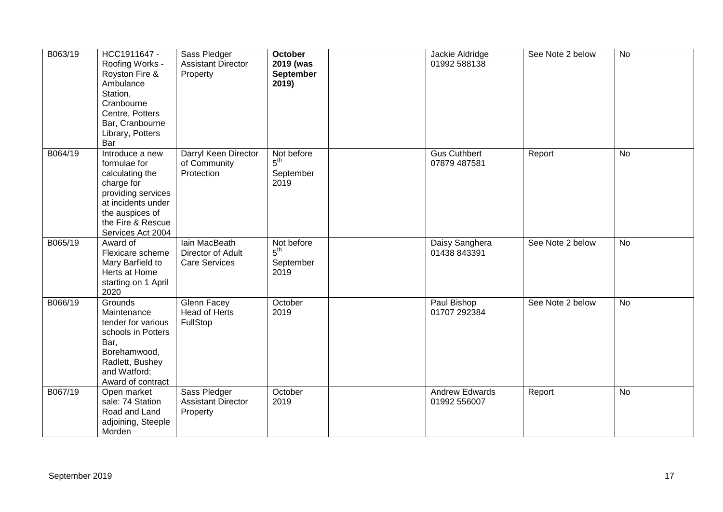| B063/19 | HCC1911647 -<br>Roofing Works -<br>Royston Fire &<br>Ambulance<br>Station,<br>Cranbourne<br>Centre, Potters<br>Bar, Cranbourne<br>Library, Potters<br>Bar                 | Sass Pledger<br><b>Assistant Director</b><br>Property      | <b>October</b><br>2019 (was<br>September<br>2019)  | Jackie Aldridge<br>01992 588138       | See Note 2 below | <b>No</b>      |
|---------|---------------------------------------------------------------------------------------------------------------------------------------------------------------------------|------------------------------------------------------------|----------------------------------------------------|---------------------------------------|------------------|----------------|
| B064/19 | Introduce a new<br>formulae for<br>calculating the<br>charge for<br>providing services<br>at incidents under<br>the auspices of<br>the Fire & Rescue<br>Services Act 2004 | Darryl Keen Director<br>of Community<br>Protection         | Not before<br>$5^{\text{th}}$<br>September<br>2019 | <b>Gus Cuthbert</b><br>07879 487581   | Report           | <b>No</b>      |
| B065/19 | Award of<br>Flexicare scheme<br>Mary Barfield to<br>Herts at Home<br>starting on 1 April<br>2020                                                                          | lain MacBeath<br>Director of Adult<br><b>Care Services</b> | Not before<br>$5^{\text{th}}$<br>September<br>2019 | Daisy Sanghera<br>01438 843391        | See Note 2 below | $\overline{N}$ |
| B066/19 | Grounds<br>Maintenance<br>tender for various<br>schools in Potters<br>Bar,<br>Borehamwood,<br>Radlett, Bushey<br>and Watford:<br>Award of contract                        | <b>Glenn Facey</b><br><b>Head of Herts</b><br>FullStop     | October<br>2019                                    | Paul Bishop<br>01707 292384           | See Note 2 below | <b>No</b>      |
| B067/19 | Open market<br>sale: 74 Station<br>Road and Land<br>adjoining, Steeple<br>Morden                                                                                          | Sass Pledger<br><b>Assistant Director</b><br>Property      | October<br>2019                                    | <b>Andrew Edwards</b><br>01992 556007 | Report           | <b>No</b>      |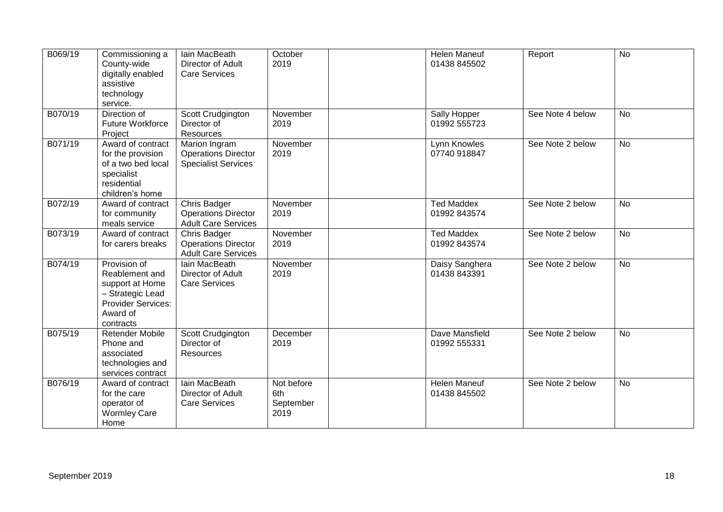| B069/19 | Commissioning a<br>County-wide<br>digitally enabled<br>assistive<br>technology<br>service.                                  | Iain MacBeath<br>Director of Adult<br><b>Care Services</b>                | October<br>2019                        | Helen Maneuf<br>01438 845502        | Report           | $\overline{N}$ |
|---------|-----------------------------------------------------------------------------------------------------------------------------|---------------------------------------------------------------------------|----------------------------------------|-------------------------------------|------------------|----------------|
| B070/19 | Direction of<br><b>Future Workforce</b><br>Project                                                                          | Scott Crudgington<br>Director of<br>Resources                             | November<br>2019                       | Sally Hopper<br>01992 555723        | See Note 4 below | <b>No</b>      |
| B071/19 | Award of contract<br>for the provision<br>of a two bed local<br>specialist<br>residential<br>children's home                | Marion Ingram<br><b>Operations Director</b><br><b>Specialist Services</b> | November<br>2019                       | Lynn Knowles<br>07740 918847        | See Note 2 below | <b>No</b>      |
| B072/19 | Award of contract<br>for community<br>meals service                                                                         | Chris Badger<br><b>Operations Director</b><br><b>Adult Care Services</b>  | November<br>2019                       | <b>Ted Maddex</b><br>01992 843574   | See Note 2 below | <b>No</b>      |
| B073/19 | Award of contract<br>for carers breaks                                                                                      | Chris Badger<br><b>Operations Director</b><br><b>Adult Care Services</b>  | November<br>2019                       | <b>Ted Maddex</b><br>01992 843574   | See Note 2 below | <b>No</b>      |
| B074/19 | Provision of<br>Reablement and<br>support at Home<br>- Strategic Lead<br><b>Provider Services:</b><br>Award of<br>contracts | Iain MacBeath<br>Director of Adult<br><b>Care Services</b>                | November<br>2019                       | Daisy Sanghera<br>01438 843391      | See Note 2 below | <b>No</b>      |
| B075/19 | <b>Retender Mobile</b><br>Phone and<br>associated<br>technologies and<br>services contract                                  | Scott Crudgington<br>Director of<br><b>Resources</b>                      | December<br>2019                       | Dave Mansfield<br>01992 555331      | See Note 2 below | <b>No</b>      |
| B076/19 | Award of contract<br>for the care<br>operator of<br><b>Wormley Care</b><br>Home                                             | lain MacBeath<br>Director of Adult<br><b>Care Services</b>                | Not before<br>6th<br>September<br>2019 | <b>Helen Maneuf</b><br>01438 845502 | See Note 2 below | <b>No</b>      |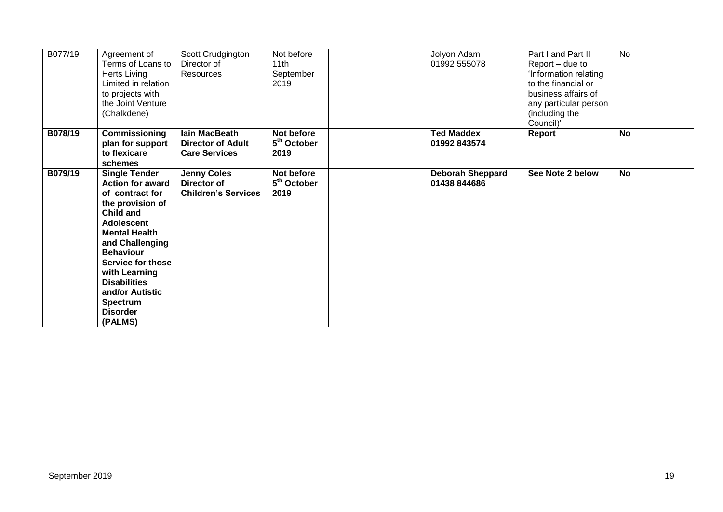| B077/19 | Agreement of<br>Terms of Loans to<br>Herts Living<br>Limited in relation<br>to projects with<br>the Joint Venture<br>(Chalkdene)                                                                                                                                                                                  | Scott Crudgington<br>Director of<br>Resources                            | Not before<br>11th<br>September<br>2019       | Jolyon Adam<br>01992 555078             | Part I and Part II<br>Report – due to<br>'Information relating<br>to the financial or<br>business affairs of<br>any particular person<br>(including the<br>Council)' | <b>No</b> |
|---------|-------------------------------------------------------------------------------------------------------------------------------------------------------------------------------------------------------------------------------------------------------------------------------------------------------------------|--------------------------------------------------------------------------|-----------------------------------------------|-----------------------------------------|----------------------------------------------------------------------------------------------------------------------------------------------------------------------|-----------|
| B078/19 | Commissioning<br>plan for support<br>to flexicare<br>schemes                                                                                                                                                                                                                                                      | <b>lain MacBeath</b><br><b>Director of Adult</b><br><b>Care Services</b> | Not before<br>5 <sup>th</sup> October<br>2019 | <b>Ted Maddex</b><br>01992 843574       | Report                                                                                                                                                               | <b>No</b> |
| B079/19 | <b>Single Tender</b><br><b>Action for award</b><br>of contract for<br>the provision of<br>Child and<br>Adolescent<br><b>Mental Health</b><br>and Challenging<br><b>Behaviour</b><br>Service for those<br>with Learning<br><b>Disabilities</b><br>and/or Autistic<br><b>Spectrum</b><br><b>Disorder</b><br>(PALMS) | <b>Jenny Coles</b><br>Director of<br><b>Children's Services</b>          | Not before<br>5 <sup>th</sup> October<br>2019 | <b>Deborah Sheppard</b><br>01438 844686 | See Note 2 below                                                                                                                                                     | <b>No</b> |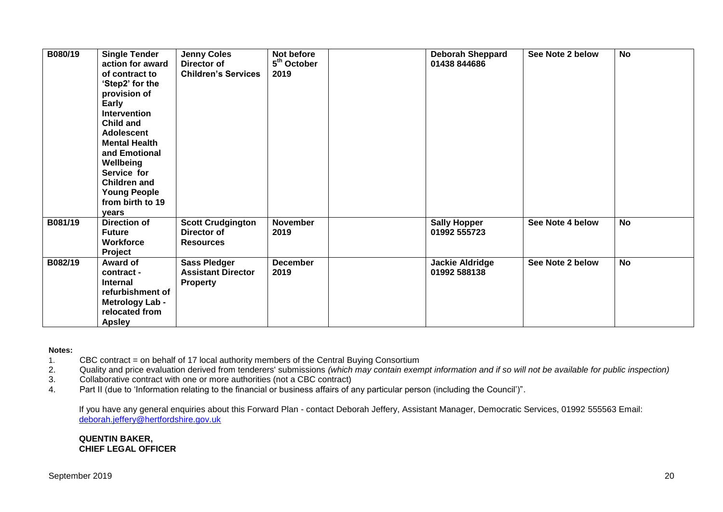| B080/19 | <b>Single Tender</b><br>action for award<br>of contract to<br>'Step2' for the<br>provision of<br>Early<br>Intervention<br>Child and<br><b>Adolescent</b><br><b>Mental Health</b><br>and Emotional<br>Wellbeing<br>Service for<br><b>Children and</b><br><b>Young People</b><br>from birth to 19<br>vears | <b>Jenny Coles</b><br>Director of<br><b>Children's Services</b>     | Not before<br>5 <sup>th</sup> October<br>2019 | <b>Deborah Sheppard</b><br>01438 844686 | See Note 2 below | <b>No</b> |
|---------|----------------------------------------------------------------------------------------------------------------------------------------------------------------------------------------------------------------------------------------------------------------------------------------------------------|---------------------------------------------------------------------|-----------------------------------------------|-----------------------------------------|------------------|-----------|
| B081/19 | <b>Direction of</b><br><b>Future</b><br><b>Workforce</b><br>Project                                                                                                                                                                                                                                      | <b>Scott Crudgington</b><br>Director of<br><b>Resources</b>         | <b>November</b><br>2019                       | <b>Sally Hopper</b><br>01992 555723     | See Note 4 below | <b>No</b> |
| B082/19 | Award of<br>contract -<br><b>Internal</b><br>refurbishment of<br><b>Metrology Lab -</b><br>relocated from<br><b>Apsley</b>                                                                                                                                                                               | <b>Sass Pledger</b><br><b>Assistant Director</b><br><b>Property</b> | <b>December</b><br>2019                       | <b>Jackie Aldridge</b><br>01992 588138  | See Note 2 below | <b>No</b> |

#### **Notes:**

- 1. CBC contract = on behalf of 17 local authority members of the Central Buying Consortium
- 2. Quality and price evaluation derived from tenderers' submissions *(which may contain exempt information and if so will not be available for public inspection)*
- 3. Collaborative contract with one or more authorities (not a CBC contract)
- 4. Part II (due to 'Information relating to the financial or business affairs of any particular person (including the Council')".

If you have any general enquiries about this Forward Plan - contact Deborah Jeffery, Assistant Manager, Democratic Services, 01992 555563 Email: [deborah.jeffery@hertfordshire.gov.uk](mailto:deborah.jeffery@hertfordshire.gov.uk) 

#### **QUENTIN BAKER, CHIEF LEGAL OFFICER**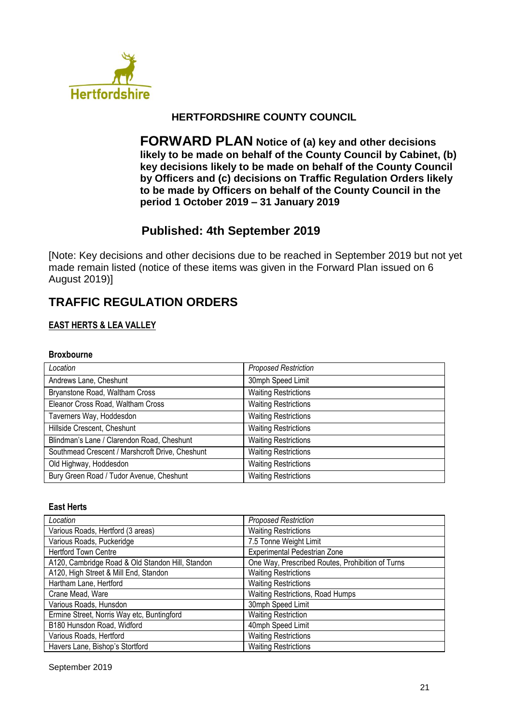

## **HERTFORDSHIRE COUNTY COUNCIL**

**FORWARD PLAN Notice of (a) key and other decisions likely to be made on behalf of the County Council by Cabinet, (b) key decisions likely to be made on behalf of the County Council by Officers and (c) decisions on Traffic Regulation Orders likely to be made by Officers on behalf of the County Council in the period 1 October 2019 – 31 January 2019**

# **Published: 4th September 2019**

[Note: Key decisions and other decisions due to be reached in September 2019 but not yet made remain listed (notice of these items was given in the Forward Plan issued on 6 August 2019)]

# **TRAFFIC REGULATION ORDERS**

## **EAST HERTS & LEA VALLEY**

#### **Broxbourne**

| Location                                        | <b>Proposed Restriction</b> |
|-------------------------------------------------|-----------------------------|
| Andrews Lane, Cheshunt                          | 30mph Speed Limit           |
| Bryanstone Road, Waltham Cross                  | <b>Waiting Restrictions</b> |
| Eleanor Cross Road, Waltham Cross               | <b>Waiting Restrictions</b> |
| Taverners Way, Hoddesdon                        | <b>Waiting Restrictions</b> |
| Hillside Crescent, Cheshunt                     | <b>Waiting Restrictions</b> |
| Blindman's Lane / Clarendon Road, Cheshunt      | <b>Waiting Restrictions</b> |
| Southmead Crescent / Marshcroft Drive, Cheshunt | <b>Waiting Restrictions</b> |
| Old Highway, Hoddesdon                          | <b>Waiting Restrictions</b> |
| Bury Green Road / Tudor Avenue, Cheshunt        | <b>Waiting Restrictions</b> |

#### **East Herts**

| Location                                         | <b>Proposed Restriction</b>                      |
|--------------------------------------------------|--------------------------------------------------|
| Various Roads, Hertford (3 areas)                | <b>Waiting Restrictions</b>                      |
| Various Roads, Puckeridge                        | 7.5 Tonne Weight Limit                           |
| <b>Hertford Town Centre</b>                      | Experimental Pedestrian Zone                     |
| A120, Cambridge Road & Old Standon Hill, Standon | One Way, Prescribed Routes, Prohibition of Turns |
| A120, High Street & Mill End, Standon            | <b>Waiting Restrictions</b>                      |
| Hartham Lane, Hertford                           | <b>Waiting Restrictions</b>                      |
| Crane Mead, Ware                                 | Waiting Restrictions, Road Humps                 |
| Various Roads, Hunsdon                           | 30mph Speed Limit                                |
| Ermine Street, Norris Way etc, Buntingford       | <b>Waiting Restriction</b>                       |
| B180 Hunsdon Road, Widford                       | 40mph Speed Limit                                |
| Various Roads, Hertford                          | <b>Waiting Restrictions</b>                      |
| Havers Lane, Bishop's Stortford                  | <b>Waiting Restrictions</b>                      |

September 2019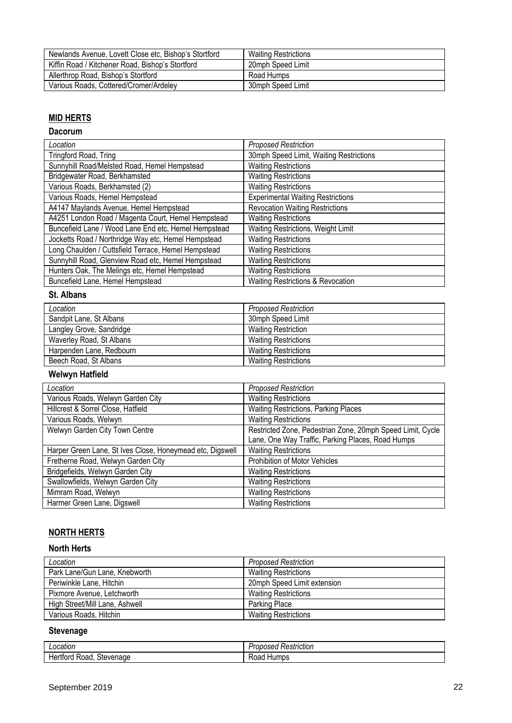| Newlands Avenue, Lovett Close etc, Bishop's Stortford | <b>Waiting Restrictions</b> |
|-------------------------------------------------------|-----------------------------|
| Kiffin Road / Kitchener Road, Bishop's Stortford      | 20mph Speed Limit           |
| Allerthrop Road, Bishop's Stortford                   | Road Humps                  |
| Various Roads, Cottered/Cromer/Ardeley                | 30mph Speed Limit           |

## **MID HERTS**

#### **Dacorum**

| Location                                             | <b>Proposed Restriction</b>                  |
|------------------------------------------------------|----------------------------------------------|
| Tringford Road, Tring                                | 30mph Speed Limit, Waiting Restrictions      |
| Sunnyhill Road/Melsted Road, Hemel Hempstead         | <b>Waiting Restrictions</b>                  |
| Bridgewater Road, Berkhamsted                        | <b>Waiting Restrictions</b>                  |
| Various Roads, Berkhamsted (2)                       | <b>Waiting Restrictions</b>                  |
| Various Roads, Hemel Hempstead                       | <b>Experimental Waiting Restrictions</b>     |
| A4147 Maylands Avenue, Hemel Hempstead               | <b>Revocation Waiting Restrictions</b>       |
| A4251 London Road / Magenta Court, Hemel Hempstead   | <b>Waiting Restrictions</b>                  |
| Buncefield Lane / Wood Lane End etc, Hemel Hempstead | Waiting Restrictions, Weight Limit           |
| Jocketts Road / Northridge Way etc, Hemel Hempstead  | <b>Waiting Restrictions</b>                  |
| Long Chaulden / Cuttsfield Terrace, Hemel Hempstead  | <b>Waiting Restrictions</b>                  |
| Sunnyhill Road, Glenview Road etc, Hemel Hempstead   | <b>Waiting Restrictions</b>                  |
| Hunters Oak, The Melings etc, Hemel Hempstead        | <b>Waiting Restrictions</b>                  |
| Buncefield Lane, Hemel Hempstead                     | <b>Waiting Restrictions &amp; Revocation</b> |

## **St. Albans**

| Location                 | <b>Proposed Restriction</b> |
|--------------------------|-----------------------------|
| Sandpit Lane, St Albans  | 30mph Speed Limit           |
| Langley Grove, Sandridge | <b>Waiting Restriction</b>  |
| Waverley Road, St Albans | <b>Waiting Restrictions</b> |
| Harpenden Lane, Redbourn | <b>Waiting Restrictions</b> |
| Beech Road, St Albans    | <b>Waiting Restrictions</b> |

## **Welwyn Hatfield**

| Location                                                  | <b>Proposed Restriction</b>                                |
|-----------------------------------------------------------|------------------------------------------------------------|
| Various Roads, Welwyn Garden City                         | <b>Waiting Restrictions</b>                                |
| Hillcrest & Sorrel Close, Hatfield                        | Waiting Restrictions, Parking Places                       |
| Various Roads, Welwyn                                     | <b>Waiting Restrictions</b>                                |
| Welwyn Garden City Town Centre                            | Restricted Zone, Pedestrian Zone, 20mph Speed Limit, Cycle |
|                                                           | Lane, One Way Traffic, Parking Places, Road Humps          |
| Harper Green Lane, St Ives Close, Honeymead etc, Digswell | <b>Waiting Restrictions</b>                                |
| Fretherne Road, Welwyn Garden City                        | Prohibition of Motor Vehicles                              |
| Bridgefields, Welwyn Garden City                          | <b>Waiting Restrictions</b>                                |
| Swallowfields, Welwyn Garden City                         | <b>Waiting Restrictions</b>                                |
| Mimram Road, Welwyn                                       | <b>Waiting Restrictions</b>                                |
| Harmer Green Lane, Digswell                               | <b>Waiting Restrictions</b>                                |

# **NORTH HERTS**

#### **North Herts**

| Location                       | <b>Proposed Restriction</b> |
|--------------------------------|-----------------------------|
| Park Lane/Gun Lane, Knebworth  | <b>Waiting Restrictions</b> |
| Periwinkle Lane, Hitchin       | 20mph Speed Limit extension |
| Pixmore Avenue, Letchworth     | <b>Waiting Restrictions</b> |
| High Street/Mill Lane, Ashwell | Parking Place               |
| Various Roads, Hitchin         | <b>Waiting Restrictions</b> |

## **Stevenage**

| nnotin<br>allUl                                                     | .<br>Restriction<br>, oposea '<br>. |
|---------------------------------------------------------------------|-------------------------------------|
| enage<br>stever.<br>rora<br>RO <sub>a</sub> c<br>٦e<br>$\mathbf{u}$ | <br>iur<br>TID.<br>wau              |